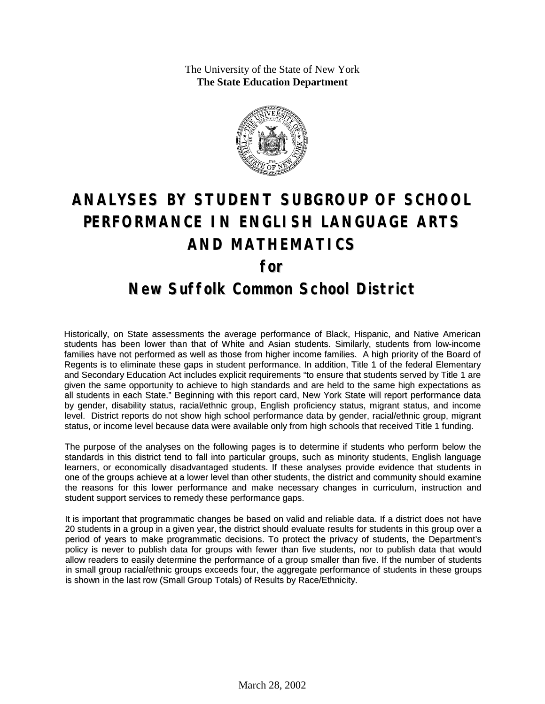The University of the State of New York **The State Education Department**



## **ANALYSES BY STUDENT SUBGROUP OF SCHOOL PERFORMANCE IN ENGLISH LANGUAGE ARTS AND MATHEMATICS for**

## **New Suffolk Common School District**

Historically, on State assessments the average performance of Black, Hispanic, and Native American students has been lower than that of White and Asian students. Similarly, students from low-income families have not performed as well as those from higher income families. A high priority of the Board of Regents is to eliminate these gaps in student performance. In addition, Title 1 of the federal Elementary and Secondary Education Act includes explicit requirements "to ensure that students served by Title 1 are given the same opportunity to achieve to high standards and are held to the same high expectations as all students in each State." Beginning with this report card, New York State will report performance data by gender, disability status, racial/ethnic group, English proficiency status, migrant status, and income level. District reports do not show high school performance data by gender, racial/ethnic group, migrant status, or income level because data were available only from high schools that received Title 1 funding.

The purpose of the analyses on the following pages is to determine if students who perform below the standards in this district tend to fall into particular groups, such as minority students, English language learners, or economically disadvantaged students. If these analyses provide evidence that students in one of the groups achieve at a lower level than other students, the district and community should examine the reasons for this lower performance and make necessary changes in curriculum, instruction and student support services to remedy these performance gaps.

It is important that programmatic changes be based on valid and reliable data. If a district does not have 20 students in a group in a given year, the district should evaluate results for students in this group over a period of years to make programmatic decisions. To protect the privacy of students, the Department's policy is never to publish data for groups with fewer than five students, nor to publish data that would allow readers to easily determine the performance of a group smaller than five. If the number of students in small group racial/ethnic groups exceeds four, the aggregate performance of students in these groups is shown in the last row (Small Group Totals) of Results by Race/Ethnicity.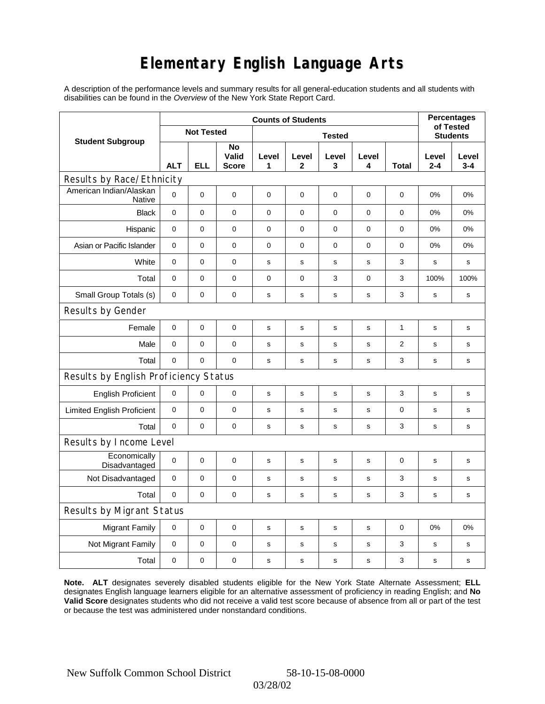## **Elementary English Language Arts**

A description of the performance levels and summary results for all general-education students and all students with disabilities can be found in the *Overview* of the New York State Report Card.

| <b>Student Subgroup</b>                  | <b>Counts of Students</b> |             |                             |               |             |             |             |              |                              | <b>Percentages</b> |  |
|------------------------------------------|---------------------------|-------------|-----------------------------|---------------|-------------|-------------|-------------|--------------|------------------------------|--------------------|--|
|                                          | <b>Not Tested</b>         |             |                             | <b>Tested</b> |             |             |             |              | of Tested<br><b>Students</b> |                    |  |
|                                          | <b>ALT</b>                | ELL         | No<br>Valid<br><b>Score</b> | Level<br>1    | Level<br>2  | Level<br>3  | Level<br>4  | <b>Total</b> | Level<br>$2 - 4$             | Level<br>$3 - 4$   |  |
| Results by Race/Ethnicity                |                           |             |                             |               |             |             |             |              |                              |                    |  |
| American Indian/Alaskan<br><b>Native</b> | $\Omega$                  | $\mathbf 0$ | $\mathbf 0$                 | $\mathbf 0$   | $\mathbf 0$ | $\mathbf 0$ | $\mathbf 0$ | $\mathbf 0$  | 0%                           | 0%                 |  |
| <b>Black</b>                             | $\mathbf 0$               | $\mathbf 0$ | $\mathbf 0$                 | 0             | $\mathbf 0$ | $\mathbf 0$ | $\mathbf 0$ | $\mathbf 0$  | 0%                           | 0%                 |  |
| Hispanic                                 | 0                         | $\mathbf 0$ | $\mathbf 0$                 | $\pmb{0}$     | $\mathbf 0$ | 0           | $\mathbf 0$ | $\pmb{0}$    | 0%                           | 0%                 |  |
| Asian or Pacific Islander                | $\mathbf 0$               | $\mathbf 0$ | 0                           | $\mathbf 0$   | $\mathbf 0$ | 0           | $\mathbf 0$ | 0            | 0%                           | 0%                 |  |
| White                                    | $\pmb{0}$                 | $\mathbf 0$ | $\mathbf 0$                 | $\mathbf s$   | $\mathbf s$ | s           | s           | 3            | s                            | s                  |  |
| Total                                    | $\pmb{0}$                 | $\pmb{0}$   | $\mathbf 0$                 | 0             | 0           | 3           | $\mathbf 0$ | 3            | 100%                         | 100%               |  |
| Small Group Totals (s)                   | $\mathbf 0$               | $\mathbf 0$ | $\mathbf 0$                 | s             | $\mathbf s$ | s           | $\mathbf s$ | 3            | s                            | $\mathbf s$        |  |
| Results by Gender                        |                           |             |                             |               |             |             |             |              |                              |                    |  |
| Female                                   | $\mathbf 0$               | $\pmb{0}$   | $\mathbf 0$                 | s             | $\mathbf s$ | $\mathbf s$ | $\mathbf s$ | $\mathbf{1}$ | s                            | $\mathbf s$        |  |
| Male                                     | $\mathbf 0$               | $\mathbf 0$ | $\mathbf 0$                 | s             | S           | $\mathbf s$ | s           | 2            | s                            | s                  |  |
| Total                                    | 0                         | $\mathbf 0$ | $\mathbf 0$                 | $\mathbf s$   | S           | s           | s           | 3            | s                            | s                  |  |
| Results by English Proficiency Status    |                           |             |                             |               |             |             |             |              |                              |                    |  |
| <b>English Proficient</b>                | $\pmb{0}$                 | $\mathbf 0$ | $\pmb{0}$                   | s             | S           | $\mathbf s$ | s           | 3            | s                            | s                  |  |
| <b>Limited English Proficient</b>        | $\pmb{0}$                 | $\pmb{0}$   | $\mathbf 0$                 | $\mathbf s$   | S           | s           | s           | 0            | s                            | s                  |  |
| Total                                    | $\Omega$                  | 0           | $\mathbf 0$                 | s             | s           | s           | $\mathbf s$ | 3            | s                            | s                  |  |
| Results by Income Level                  |                           |             |                             |               |             |             |             |              |                              |                    |  |
| Economically<br>Disadvantaged            | $\mathbf 0$               | $\pmb{0}$   | $\mathbf 0$                 | s             | s           | s           | s           | $\mathbf 0$  | s                            | s                  |  |
| Not Disadvantaged                        | 0                         | 0           | 0                           | s             | s           | s           | s           | 3            | s                            | s                  |  |
| Total                                    | $\mathbf 0$               | $\mathbf 0$ | $\mathbf 0$                 | s             | S           | s           | $\mathbf s$ | 3            | s                            | $\mathbf s$        |  |
| Results by Migrant Status                |                           |             |                             |               |             |             |             |              |                              |                    |  |
| <b>Migrant Family</b>                    | $\pmb{0}$                 | $\mathbf 0$ | $\mathbf 0$                 | s             | $\mathbf s$ | $\mathbf s$ | s           | $\mathbf 0$  | 0%                           | 0%                 |  |
| Not Migrant Family                       | $\pmb{0}$                 | $\mathbf 0$ | $\mathbf 0$                 | $\mathbf s$   | $\mathbf s$ | s           | $\mathbf s$ | 3            | s                            | s                  |  |
| Total                                    | $\pmb{0}$                 | 0           | $\pmb{0}$                   | $\mathbf s$   | S           | s           | s           | 3            | s                            | s                  |  |

**Note. ALT** designates severely disabled students eligible for the New York State Alternate Assessment; **ELL** designates English language learners eligible for an alternative assessment of proficiency in reading English; and **No Valid Score** designates students who did not receive a valid test score because of absence from all or part of the test or because the test was administered under nonstandard conditions.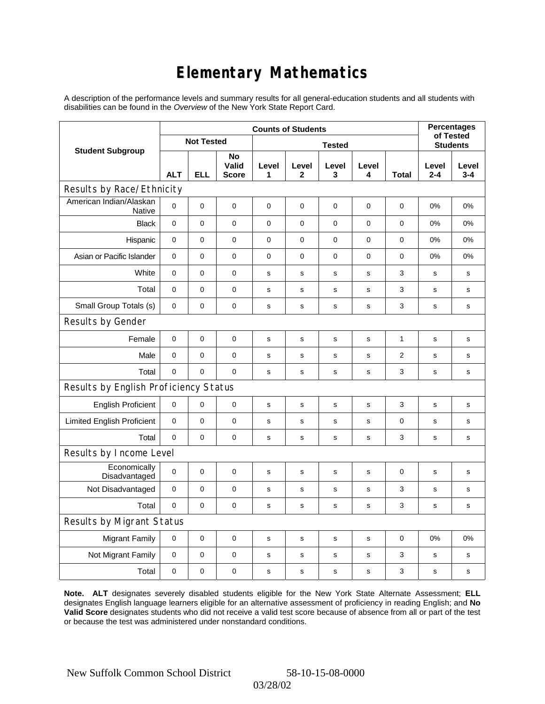## **Elementary Mathematics**

A description of the performance levels and summary results for all general-education students and all students with disabilities can be found in the *Overview* of the New York State Report Card.

|                                          | <b>Counts of Students</b> |             |                             |               |                       |              |             |              | <b>Percentages</b><br>of Tested |                  |
|------------------------------------------|---------------------------|-------------|-----------------------------|---------------|-----------------------|--------------|-------------|--------------|---------------------------------|------------------|
| <b>Student Subgroup</b>                  | <b>Not Tested</b>         |             |                             | <b>Tested</b> |                       |              |             |              | <b>Students</b>                 |                  |
|                                          | <b>ALT</b>                | <b>ELL</b>  | No<br>Valid<br><b>Score</b> | Level<br>1    | Level<br>$\mathbf{2}$ | Level<br>3   | Level<br>4  | Total        | Level<br>$2 - 4$                | Level<br>$3 - 4$ |
| Results by Race/Ethnicity                |                           |             |                             |               |                       |              |             |              |                                 |                  |
| American Indian/Alaskan<br><b>Native</b> | 0                         | $\mathbf 0$ | $\mathbf 0$                 | $\mathbf 0$   | $\mathbf 0$           | 0            | 0           | 0            | 0%                              | 0%               |
| <b>Black</b>                             | $\mathbf 0$               | 0           | $\pmb{0}$                   | $\pmb{0}$     | $\pmb{0}$             | 0            | $\mathbf 0$ | 0            | 0%                              | 0%               |
| Hispanic                                 | $\mathbf 0$               | $\mathbf 0$ | $\mathbf 0$                 | $\mathbf 0$   | $\mathbf 0$           | 0            | 0           | 0            | 0%                              | 0%               |
| Asian or Pacific Islander                | $\mathbf 0$               | $\mathbf 0$ | $\mathbf 0$                 | $\pmb{0}$     | $\mathbf 0$           | 0            | 0           | 0            | 0%                              | 0%               |
| White                                    | 0                         | 0           | $\mathbf 0$                 | $\mathbf s$   | s                     | s            | $\mathbf s$ | 3            | s                               | s                |
| Total                                    | $\mathbf 0$               | 0           | $\mathbf 0$                 | $\mathbf s$   | $\mathbf s$           | $\mathbf s$  | $\mathbf s$ | 3            | $\mathbf s$                     | s                |
| Small Group Totals (s)                   | $\mathbf 0$               | 0           | $\mathbf 0$                 | s             | s                     | s            | s           | 3            | s                               | s                |
| Results by Gender                        |                           |             |                             |               |                       |              |             |              |                                 |                  |
| Female                                   | $\mathbf 0$               | $\mathsf 0$ | $\pmb{0}$                   | $\mathbf s$   | $\mathbf s$           | $\mathbf s$  | $\mathbf s$ | $\mathbf{1}$ | $\mathbf s$                     | s                |
| Male                                     | $\mathbf 0$               | 0           | $\mathbf 0$                 | $\mathbf s$   | $\mathsf{s}$          | $\mathsf{s}$ | s           | 2            | $\mathbf s$                     | s                |
| Total                                    | 0                         | 0           | $\mathbf 0$                 | s             | $\mathbf s$           | $\mathbf s$  | s           | 3            | s                               | s                |
| Results by English Proficiency Status    |                           |             |                             |               |                       |              |             |              |                                 |                  |
| <b>English Proficient</b>                | 0                         | 0           | $\mathbf 0$                 | s             | $\mathbf s$           | s            | $\mathbf S$ | 3            | s                               | $\mathbf s$      |
| <b>Limited English Proficient</b>        | $\mathbf 0$               | 0           | $\mathbf 0$                 | $\mathbf s$   | s                     | s            | s           | 0            | s                               | s                |
| Total                                    | 0                         | $\mathbf 0$ | $\mathbf 0$                 | $\mathbf s$   | $\mathsf{s}$          | $\mathbf s$  | s           | 3            | $\mathbf s$                     | s                |
| Results by Income Level                  |                           |             |                             |               |                       |              |             |              |                                 |                  |
| Economically<br>Disadvantaged            | $\mathbf 0$               | $\mathsf 0$ | $\mathbf 0$                 | $\mathbf s$   | $\mathbf s$           | s            | $\mathbf s$ | 0            | $\mathbf s$                     | s                |
| Not Disadvantaged                        | $\mathbf 0$               | 0           | $\mathbf 0$                 | s             | s                     | s            | s           | 3            | s                               | s                |
| Total                                    | $\mathbf 0$               | $\mathbf 0$ | $\mathbf 0$                 | $\mathbf s$   | s                     | s            | s           | 3            | $\mathbf s$                     | s                |
| Results by Migrant Status                |                           |             |                             |               |                       |              |             |              |                                 |                  |
| <b>Migrant Family</b>                    | $\mathbf 0$               | $\mathbf 0$ | $\mathbf 0$                 | s             | s                     | s            | s           | 0            | 0%                              | 0%               |
| Not Migrant Family                       | 0                         | 0           | $\pmb{0}$                   | $\mathbf s$   | $\mathsf{s}$          | $\mathbf s$  | s           | 3            | $\mathbf s$                     | s                |
| Total                                    | 0                         | 0           | 0                           | $\mathbf s$   | $\mathsf{s}$          | $\mathbf s$  | s           | 3            | $\mathbf s$                     | s                |

**Note. ALT** designates severely disabled students eligible for the New York State Alternate Assessment; **ELL** designates English language learners eligible for an alternative assessment of proficiency in reading English; and **No Valid Score** designates students who did not receive a valid test score because of absence from all or part of the test or because the test was administered under nonstandard conditions.